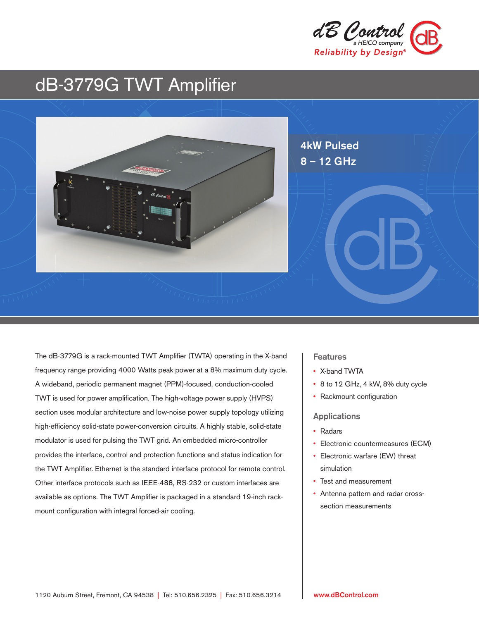

# dB-3779G TWT Amplifier



The dB-3779G is a rack-mounted TWT Amplifier (TWTA) operating in the X-band frequency range providing 4000 Watts peak power at a 8% maximum duty cycle. A wideband, periodic permanent magnet (PPM)-focused, conduction-cooled TWT is used for power amplification. The high-voltage power supply (HVPS) section uses modular architecture and low-noise power supply topology utilizing high-efficiency solid-state power-conversion circuits. A highly stable, solid-state modulator is used for pulsing the TWT grid. An embedded micro-controller provides the interface, control and protection functions and status indication for the TWT Amplifier. Ethernet is the standard interface protocol for remote control. Other interface protocols such as IEEE-488, RS-232 or custom interfaces are available as options. The TWT Amplifier is packaged in a standard 19-inch rackmount configuration with integral forced-air cooling.

# **Features**

- X-band TWTA
- 8 to 12 GHz, 4 kW, 8% duty cycle
- Rackmount configuration

#### Applications

- Radars
- Electronic countermeasures (ECM)
- Electronic warfare (EW) threat simulation
- Test and measurement
- Antenna pattern and radar crosssection measurements